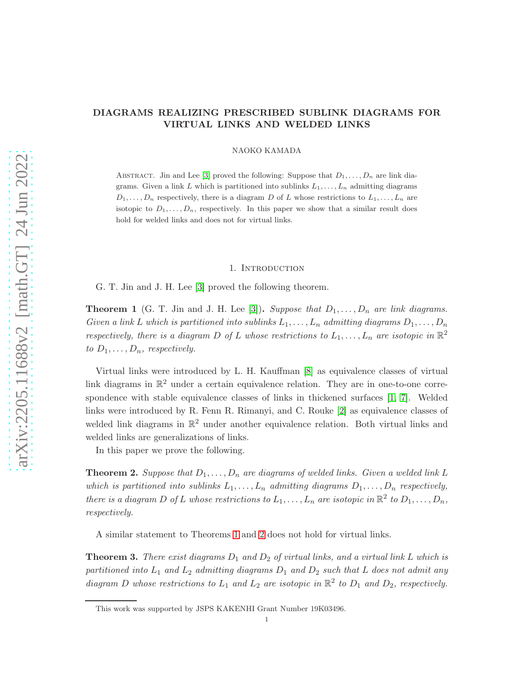# DIAGRAMS REALIZING PRESCRIBED SUBLINK DIAGRAMS FOR VIRTUAL LINKS AND WELDED LINKS

NAOKO KAMADA

ABSTRACT. Jin and Lee [\[3\]](#page-10-0) proved the following: Suppose that  $D_1, \ldots, D_n$  are link diagrams. Given a link L which is partitioned into sublinks  $L_1, \ldots, L_n$  admitting diagrams  $D_1, \ldots, D_n$  respectively, there is a diagram D of L whose restrictions to  $L_1, \ldots, L_n$  are isotopic to  $D_1, \ldots, D_n$ , respectively. In this paper we show that a similar result does hold for welded links and does not for virtual links.

#### 1. Introduction

G. T. Jin and J. H. Lee [\[3\]](#page-10-0) proved the following theorem.

<span id="page-0-0"></span>**Theorem 1** (G. T. Jin and J. H. Lee [\[3\]](#page-10-0)). Suppose that  $D_1, \ldots, D_n$  are link diagrams. Given a link L which is partitioned into sublinks  $L_1, \ldots, L_n$  admitting diagrams  $D_1, \ldots, D_n$ respectively, there is a diagram D of L whose restrictions to  $L_1, \ldots, L_n$  are isotopic in  $\mathbb{R}^2$ to  $D_1, \ldots, D_n$ , respectively.

Virtual links were introduced by L. H. Kauffman [\[8\]](#page-10-1) as equivalence classes of virtual link diagrams in  $\mathbb{R}^2$  under a certain equivalence relation. They are in one-to-one correspondence with stable equivalence classes of links in thickened surfaces [\[1,](#page-9-0) [7\]](#page-10-2). Welded links were introduced by R. Fenn R. Rimanyi, and C. Rouke [\[2\]](#page-9-1) as equivalence classes of welded link diagrams in  $\mathbb{R}^2$  under another equivalence relation. Both virtual links and welded links are generalizations of links.

In this paper we prove the following.

<span id="page-0-1"></span>**Theorem 2.** Suppose that  $D_1, \ldots, D_n$  are diagrams of welded links. Given a welded link L which is partitioned into sublinks  $L_1, \ldots, L_n$  admitting diagrams  $D_1, \ldots, D_n$  respectively, there is a diagram D of L whose restrictions to  $L_1, \ldots, L_n$  are isotopic in  $\mathbb{R}^2$  to  $D_1, \ldots, D_n$ , respectively.

A similar statement to Theorems [1](#page-0-0) and [2](#page-0-1) does not hold for virtual links.

<span id="page-0-2"></span>**Theorem 3.** There exist diagrams  $D_1$  and  $D_2$  of virtual links, and a virtual link L which is partitioned into  $L_1$  and  $L_2$  admitting diagrams  $D_1$  and  $D_2$  such that L does not admit any diagram D whose restrictions to  $L_1$  and  $L_2$  are isotopic in  $\mathbb{R}^2$  to  $D_1$  and  $D_2$ , respectively.

1

This work was supported by JSPS KAKENHI Grant Number 19K03496.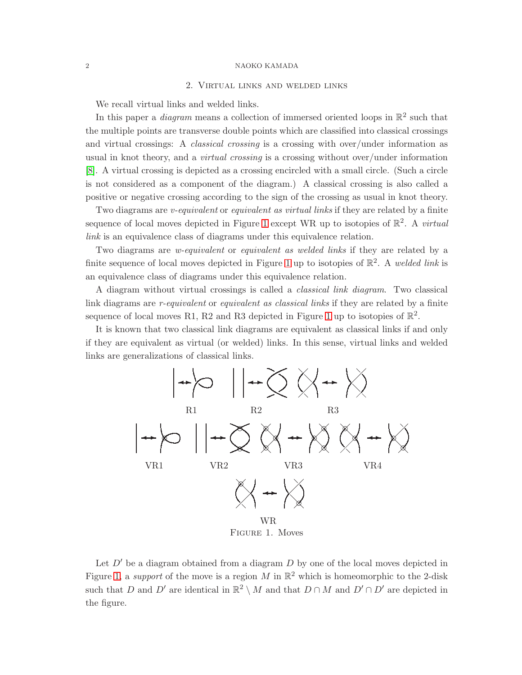# 2. Virtual links and welded links

We recall virtual links and welded links.

In this paper a *diagram* means a collection of immersed oriented loops in  $\mathbb{R}^2$  such that the multiple points are transverse double points which are classified into classical crossings and virtual crossings: A classical crossing is a crossing with over/under information as usual in knot theory, and a *virtual crossing* is a crossing without over/under information [\[8\]](#page-10-1). A virtual crossing is depicted as a crossing encircled with a small circle. (Such a circle is not considered as a component of the diagram.) A classical crossing is also called a positive or negative crossing according to the sign of the crossing as usual in knot theory.

Two diagrams are *v*-equivalent or equivalent as virtual links if they are related by a finite sequence of local moves depicted in Figure [1](#page-1-0) except WR up to isotopies of  $\mathbb{R}^2$ . A *virtual* link is an equivalence class of diagrams under this equivalence relation.

Two diagrams are *w-equivalent* or *equivalent as welded links* if they are related by a finite sequence of local moves depicted in Figure [1](#page-1-0) up to isotopies of  $\mathbb{R}^2$ . A welded link is an equivalence class of diagrams under this equivalence relation.

A diagram without virtual crossings is called a classical link diagram. Two classical link diagrams are r-equivalent or equivalent as classical links if they are related by a finite sequence of local moves R1, R2 and R3 depicted in Figure [1](#page-1-0) up to isotopies of  $\mathbb{R}^2$ .

It is known that two classical link diagrams are equivalent as classical links if and only if they are equivalent as virtual (or welded) links. In this sense, virtual links and welded links are generalizations of classical links.



<span id="page-1-0"></span>Let  $D'$  be a diagram obtained from a diagram  $D$  by one of the local moves depicted in Figure [1,](#page-1-0) a support of the move is a region M in  $\mathbb{R}^2$  which is homeomorphic to the 2-disk such that D and D' are identical in  $\mathbb{R}^2 \setminus M$  and that  $D \cap M$  and  $D' \cap D'$  are depicted in the figure.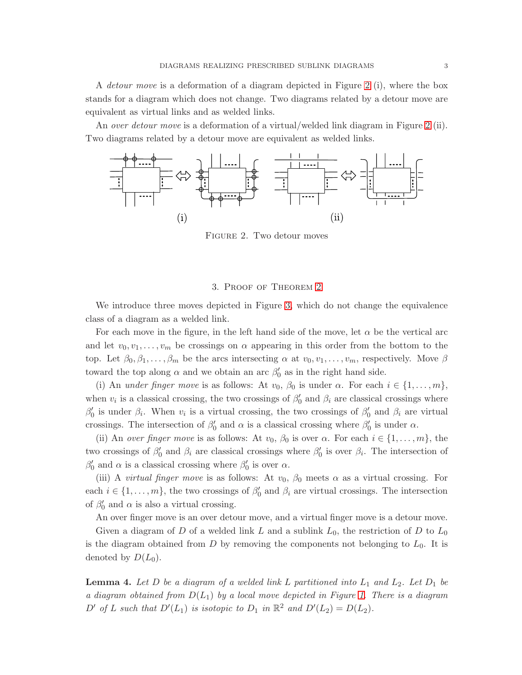A detour move is a deformation of a diagram depicted in Figure [2](#page-2-0) (i), where the box stands for a diagram which does not change. Two diagrams related by a detour move are equivalent as virtual links and as welded links.

An over detour move is a deformation of a virtual/welded link diagram in Figure [2](#page-2-0) (ii). Two diagrams related by a detour move are equivalent as welded links.



<span id="page-2-0"></span>FIGURE 2. Two detour moves

# 3. Proof of Theorem [2](#page-0-1)

We introduce three moves depicted in Figure [3,](#page-3-0) which do not change the equivalence class of a diagram as a welded link.

For each move in the figure, in the left hand side of the move, let  $\alpha$  be the vertical arc and let  $v_0, v_1, \ldots, v_m$  be crossings on  $\alpha$  appearing in this order from the bottom to the top. Let  $\beta_0, \beta_1, \ldots, \beta_m$  be the arcs intersecting  $\alpha$  at  $v_0, v_1, \ldots, v_m$ , respectively. Move  $\beta$ toward the top along  $\alpha$  and we obtain an arc  $\beta_0'$  $\frac{7}{0}$  as in the right hand side.

(i) An under finger move is as follows: At  $v_0$ ,  $\beta_0$  is under  $\alpha$ . For each  $i \in \{1, \ldots, m\}$ , when  $v_i$  is a classical crossing, the two crossings of  $\beta_0$  $\eta_0'$  and  $\beta_i$  are classical crossings where  $\beta_0'$  $\beta_0$  is under  $\beta_i$ . When  $v_i$  is a virtual crossing, the two crossings of  $\beta_0$  $\beta_0$  and  $\beta_i$  are virtual crossings. The intersection of  $\beta_0'$  $\frac{1}{0}$  and  $\alpha$  is a classical crossing where  $\beta_0'$  $\alpha$  is under  $\alpha$ .

(ii) An over finger move is as follows: At  $v_0$ ,  $\beta_0$  is over  $\alpha$ . For each  $i \in \{1, \ldots, m\}$ , the two crossings of  $\beta_0'$  $\beta_0'$  and  $\beta_i$  are classical crossings where  $\beta_0'$  $\eta'$  is over  $\beta_i$ . The intersection of  $\beta_0'$  $\beta_0'$  and  $\alpha$  is a classical crossing where  $\beta_0'$  $\int_0'$  is over  $\alpha$ .

(iii) A *virtual finger move* is as follows: At  $v_0$ ,  $\beta_0$  meets  $\alpha$  as a virtual crossing. For each  $i \in \{1, \ldots, m\}$ , the two crossings of  $\beta_0'$  $\beta_0'$  and  $\beta_i$  are virtual crossings. The intersection of  $\beta_0'$  $\eta$  and  $\alpha$  is also a virtual crossing.

An over finger move is an over detour move, and a virtual finger move is a detour move. Given a diagram of D of a welded link L and a sublink  $L_0$ , the restriction of D to  $L_0$ is the diagram obtained from  $D$  by removing the components not belonging to  $L_0$ . It is denoted by  $D(L_0)$ .

<span id="page-2-1"></span>**Lemma 4.** Let D be a diagram of a welded link L partitioned into  $L_1$  and  $L_2$ . Let  $D_1$  be a diagram obtained from  $D(L_1)$  by a local move depicted in Figure [1.](#page-1-0) There is a diagram D' of L such that  $D'(L_1)$  is isotopic to  $D_1$  in  $\mathbb{R}^2$  and  $D'(L_2) = D(L_2)$ .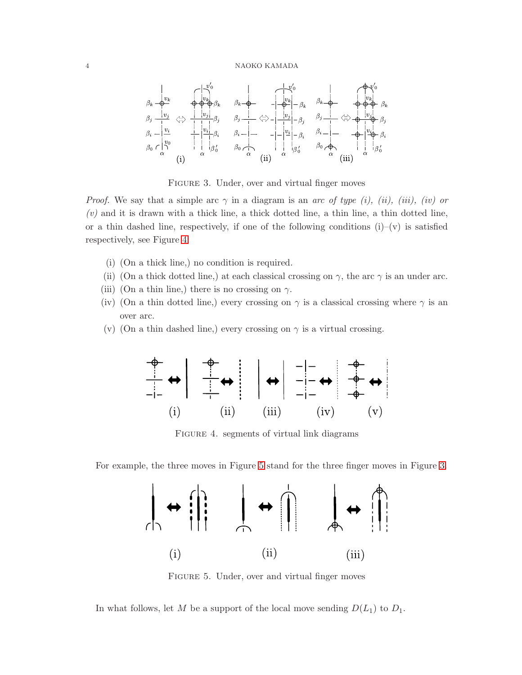

<span id="page-3-0"></span>FIGURE 3. Under, over and virtual finger moves

*Proof.* We say that a simple arc  $\gamma$  in a diagram is an arc of type (i), (ii), (iii), (iv) or  $(v)$  and it is drawn with a thick line, a thick dotted line, a thin line, a thin dotted line, or a thin dashed line, respectively, if one of the following conditions  $(i)$ – $(v)$  is satisfied respectively, see Figure [4:](#page-3-1)

- (i) (On a thick line,) no condition is required.
- (ii) (On a thick dotted line,) at each classical crossing on  $\gamma$ , the arc  $\gamma$  is an under arc.
- (iii) (On a thin line,) there is no crossing on  $\gamma$ .
- (iv) (On a thin dotted line,) every crossing on  $\gamma$  is a classical crossing where  $\gamma$  is an over arc.
- (v) (On a thin dashed line,) every crossing on  $\gamma$  is a virtual crossing.



<span id="page-3-1"></span>Figure 4. segments of virtual link diagrams

For example, the three moves in Figure [5](#page-3-2) stand for the three finger moves in Figure [3.](#page-3-0)



<span id="page-3-2"></span>FIGURE 5. Under, over and virtual finger moves

In what follows, let M be a support of the local move sending  $D(L_1)$  to  $D_1$ .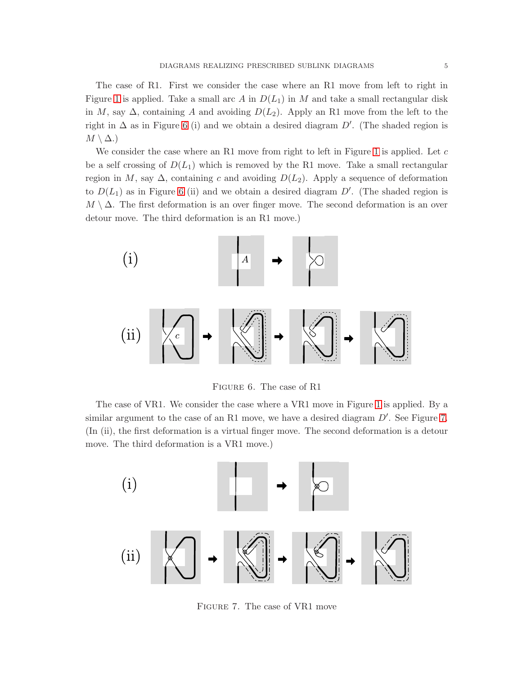The case of R1. First we consider the case where an R1 move from left to right in Figure [1](#page-1-0) is applied. Take a small arc A in  $D(L_1)$  in M and take a small rectangular disk in M, say  $\Delta$ , containing A and avoiding  $D(L_2)$ . Apply an R1 move from the left to the right in  $\Delta$  as in Figure [6](#page-4-0) (i) and we obtain a desired diagram D'. (The shaded region is  $M \setminus \Delta$ .)

We consider the case where an R1 move from right to left in Figure [1](#page-1-0) is applied. Let  $c$ be a self crossing of  $D(L_1)$  which is removed by the R1 move. Take a small rectangular region in M, say  $\Delta$ , containing c and avoiding  $D(L_2)$ . Apply a sequence of deformation to  $D(L_1)$  as in Figure [6](#page-4-0) (ii) and we obtain a desired diagram  $D'$ . (The shaded region is  $M \setminus \Delta$ . The first deformation is an over finger move. The second deformation is an over detour move. The third deformation is an R1 move.)



<span id="page-4-0"></span>Figure 6. The case of R1

The case of VR1. We consider the case where a VR1 move in Figure [1](#page-1-0) is applied. By a similar argument to the case of an R1 move, we have a desired diagram  $D'$ . See Figure [7.](#page-4-1) (In (ii), the first deformation is a virtual finger move. The second deformation is a detour move. The third deformation is a VR1 move.)



<span id="page-4-1"></span>Figure 7. The case of VR1 move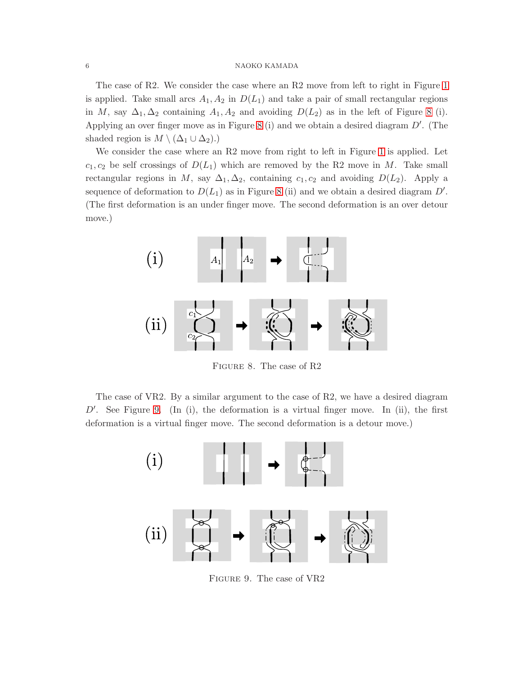The case of R2. We consider the case where an R2 move from left to right in Figure [1](#page-1-0) is applied. Take small arcs  $A_1, A_2$  in  $D(L_1)$  and take a pair of small rectangular regions in M, say  $\Delta_1, \Delta_2$  containing  $A_1, A_2$  and avoiding  $D(L_2)$  as in the left of Figure [8](#page-5-0) (i). Applying an over finger move as in Figure [8](#page-5-0) (i) and we obtain a desired diagram  $D'$ . (The shaded region is  $M \setminus (\Delta_1 \cup \Delta_2)$ .)

We consider the case where an R2 move from right to left in Figure [1](#page-1-0) is applied. Let  $c_1, c_2$  be self crossings of  $D(L_1)$  which are removed by the R2 move in M. Take small rectangular regions in M, say  $\Delta_1, \Delta_2$ , containing  $c_1, c_2$  and avoiding  $D(L_2)$ . Apply a sequence of deformation to  $D(L_1)$  as in Figure [8](#page-5-0) (ii) and we obtain a desired diagram  $D'$ . (The first deformation is an under finger move. The second deformation is an over detour move.)



<span id="page-5-0"></span>Figure 8. The case of R2

The case of VR2. By a similar argument to the case of R2, we have a desired diagram  $D'$ . See Figure [9.](#page-5-1) (In (i), the deformation is a virtual finger move. In (ii), the first deformation is a virtual finger move. The second deformation is a detour move.)



<span id="page-5-1"></span>Figure 9. The case of VR2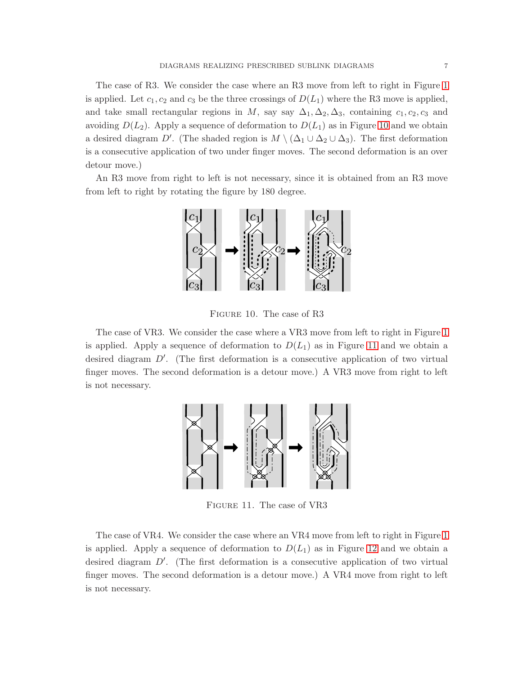The case of R3. We consider the case where an R3 move from left to right in Figure [1](#page-1-0) is applied. Let  $c_1, c_2$  and  $c_3$  be the three crossings of  $D(L_1)$  where the R3 move is applied, and take small rectangular regions in M, say say  $\Delta_1, \Delta_2, \Delta_3$ , containing  $c_1, c_2, c_3$  and avoiding  $D(L_2)$ . Apply a sequence of deformation to  $D(L_1)$  as in Figure [10](#page-6-0) and we obtain a desired diagram D'. (The shaded region is  $M \setminus (\Delta_1 \cup \Delta_2 \cup \Delta_3)$ . The first deformation is a consecutive application of two under finger moves. The second deformation is an over detour move.)

An R3 move from right to left is not necessary, since it is obtained from an R3 move from left to right by rotating the figure by 180 degree.



<span id="page-6-0"></span>Figure 10. The case of R3

The case of VR3. We consider the case where a VR3 move from left to right in Figure [1](#page-1-0) is applied. Apply a sequence of deformation to  $D(L_1)$  as in Figure [11](#page-6-1) and we obtain a desired diagram  $D'$ . (The first deformation is a consecutive application of two virtual finger moves. The second deformation is a detour move.) A VR3 move from right to left is not necessary.



<span id="page-6-1"></span>Figure 11. The case of VR3

The case of VR4. We consider the case where an VR4 move from left to right in Figure [1](#page-1-0) is applied. Apply a sequence of deformation to  $D(L_1)$  as in Figure [12](#page-7-0) and we obtain a desired diagram  $D'$ . (The first deformation is a consecutive application of two virtual finger moves. The second deformation is a detour move.) A VR4 move from right to left is not necessary.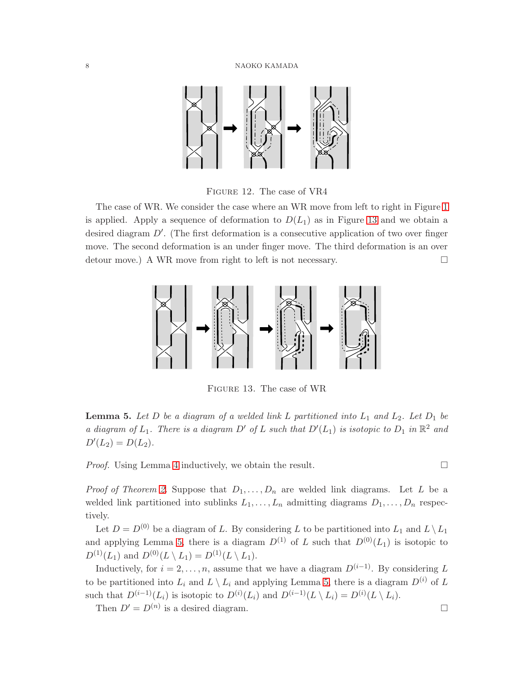

<span id="page-7-0"></span>Figure 12. The case of VR4

The case of WR. We consider the case where an WR move from left to right in Figure [1](#page-1-0) is applied. Apply a sequence of deformation to  $D(L_1)$  as in Figure [13](#page-7-1) and we obtain a desired diagram D'. (The first deformation is a consecutive application of two over finger move. The second deformation is an under finger move. The third deformation is an over detour move.) A WR move from right to left is not necessary.



<span id="page-7-1"></span>Figure 13. The case of WR

<span id="page-7-2"></span>**Lemma 5.** Let D be a diagram of a welded link L partitioned into  $L_1$  and  $L_2$ . Let  $D_1$  be a diagram of  $L_1$ . There is a diagram D' of L such that  $D'(L_1)$  is isotopic to  $D_1$  in  $\mathbb{R}^2$  and  $D'(L_2) = D(L_2).$ 

*Proof.* Using Lemma [4](#page-2-1) inductively, we obtain the result.  $\square$ 

*Proof of Theorem [2.](#page-0-1)* Suppose that  $D_1, \ldots, D_n$  are welded link diagrams. Let L be a welded link partitioned into sublinks  $L_1, \ldots, L_n$  admitting diagrams  $D_1, \ldots, D_n$  respectively.

Let  $D = D^{(0)}$  be a diagram of L. By considering L to be partitioned into  $L_1$  and  $L \setminus L_1$ and applying Lemma [5,](#page-7-2) there is a diagram  $D^{(1)}$  of L such that  $D^{(0)}(L_1)$  is isotopic to  $D^{(1)}(L_1)$  and  $D^{(0)}(L \setminus L_1) = D^{(1)}(L \setminus L_1)$ .

Inductively, for  $i = 2, ..., n$ , assume that we have a diagram  $D^{(i-1)}$ . By considering L to be partitioned into  $L_i$  and  $L \setminus L_i$  and applying Lemma [5,](#page-7-2) there is a diagram  $D^{(i)}$  of L such that  $D^{(i-1)}(L_i)$  is isotopic to  $D^{(i)}(L_i)$  and  $D^{(i-1)}(L \setminus L_i) = D^{(i)}(L \setminus L_i)$ .

Then  $D' = D^{(n)}$  is a desired diagram.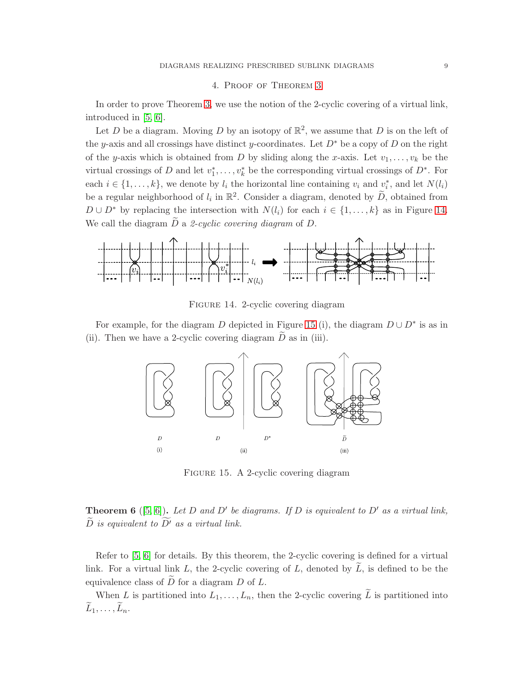# 4. Proof of Theorem [3](#page-0-2)

In order to prove Theorem [3,](#page-0-2) we use the notion of the 2-cyclic covering of a virtual link, introduced in [\[5,](#page-10-3) [6\]](#page-10-4).

Let D be a diagram. Moving D by an isotopy of  $\mathbb{R}^2$ , we assume that D is on the left of the y-axis and all crossings have distinct y-coordinates. Let  $D^*$  be a copy of D on the right of the y-axis which is obtained from D by sliding along the x-axis. Let  $v_1, \ldots, v_k$  be the virtual crossings of D and let  $v_1^*$  $i_1^*, \ldots, i_k^*$  be the corresponding virtual crossings of  $D^*$ . For each  $i \in \{1, ..., k\}$ , we denote by  $l_i$  the horizontal line containing  $v_i$  and  $v_i^*$ , and let  $N(l_i)$ be a regular neighborhood of  $l_i$  in  $\mathbb{R}^2$ . Consider a diagram, denoted by  $\widetilde{D}$ , obtained from  $D \cup D^*$  by replacing the intersection with  $N(l_i)$  for each  $i \in \{1, ..., k\}$  as in Figure [14.](#page-8-0) We call the diagram  $\tilde{D}$  a 2-cyclic covering diagram of  $D$ .



<span id="page-8-0"></span>Figure 14. 2-cyclic covering diagram

For example, for the diagram D depicted in Figure [15](#page-8-1) (i), the diagram  $D \cup D^*$  is as in (ii). Then we have a 2-cyclic covering diagram  $\overline{D}$  as in (iii).



<span id="page-8-1"></span>Figure 15. A 2-cyclic covering diagram

# <span id="page-8-2"></span>**Theorem 6** ([\[5,](#page-10-3) [6\]](#page-10-4)). Let D and D' be diagrams. If D is equivalent to D' as a virtual link,  $\widetilde{D}$  is equivalent to  $\widetilde{D}'$  as a virtual link.

Refer to [\[5,](#page-10-3) [6\]](#page-10-4) for details. By this theorem, the 2-cyclic covering is defined for a virtual link. For a virtual link L, the 2-cyclic covering of L, denoted by  $\tilde{L}$ , is defined to be the equivalence class of  $\overline{D}$  for a diagram  $D$  of  $L$ .

When L is partitioned into  $L_1, \ldots, L_n$ , then the 2-cyclic covering  $\widetilde{L}$  is partitioned into  $\widetilde{L}_1, \ldots, \widetilde{L}_n$ .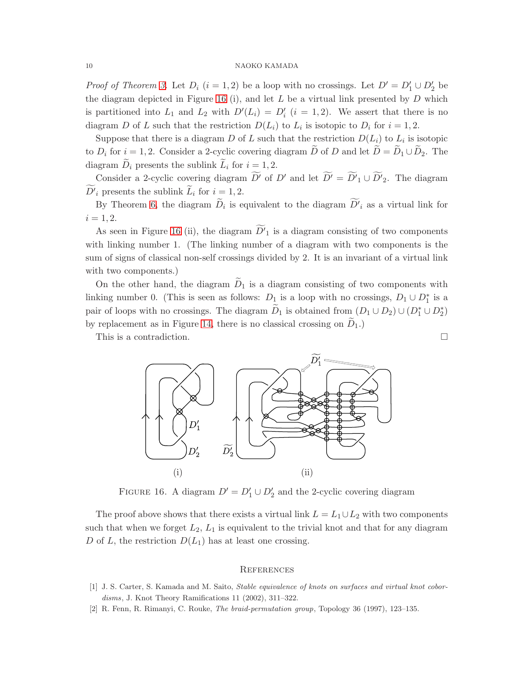*Proof of Theorem [3.](#page-0-2)* Let  $D_i$   $(i = 1, 2)$  be a loop with no crossings. Let  $D' = D'_1 \cup D'_2$  be the diagram depicted in Figure [16](#page-9-2) (i), and let  $L$  be a virtual link presented by  $D$  which is partitioned into  $L_1$  and  $L_2$  with  $D'(L_i) = D'_i$   $(i = 1, 2)$ . We assert that there is no diagram D of L such that the restriction  $D(L_i)$  to  $L_i$  is isotopic to  $D_i$  for  $i = 1, 2$ .

Suppose that there is a diagram D of L such that the restriction  $D(L_i)$  to  $L_i$  is isotopic to  $D_i$  for  $i = 1, 2$ . Consider a 2-cyclic covering diagram  $\widetilde{D}$  of D and let  $\widetilde{D} = \widetilde{D}_1 \cup \widetilde{D}_2$ . The diagram  $\widetilde{D}_i$  presents the sublink  $\widetilde{L}_i$  for  $i = 1, 2$ .

Consider a 2-cyclic covering diagram  $\widetilde{D}'$  of D' and let  $\widetilde{D'} = \widetilde{D'}_1 \cup \widetilde{D'}_2$ . The diagram  $\widetilde{D'}_i$  presents the sublink  $\widetilde{L}_i$  for  $i=1,2$ .

By Theorem [6,](#page-8-2) the diagram  $\widetilde{D}_i$  is equivalent to the diagram  $\widetilde{D'}_i$  as a virtual link for  $i = 1, 2.$ 

As seen in Figure [16](#page-9-2) (ii), the diagram  $\widetilde{D'}_1$  is a diagram consisting of two components with linking number 1. (The linking number of a diagram with two components is the sum of signs of classical non-self crossings divided by 2. It is an invariant of a virtual link with two components.)

On the other hand, the diagram  $D_1$  is a diagram consisting of two components with linking number 0. (This is seen as follows:  $D_1$  is a loop with no crossings,  $D_1 \cup D_1^*$  is a pair of loops with no crossings. The diagram  $\tilde{D}_1$  is obtained from  $(D_1 \cup D_2) \cup (D_1^* \cup D_2^*)$ by replacement as in Figure [14,](#page-8-0) there is no classical crossing on  $D_1$ .)

This is a contradiction.  $\Box$ 



<span id="page-9-2"></span>FIGURE 16. A diagram  $D' = D'_1 \cup D'_2$  and the 2-cyclic covering diagram

The proof above shows that there exists a virtual link  $L = L_1 \cup L_2$  with two components such that when we forget  $L_2$ ,  $L_1$  is equivalent to the trivial knot and that for any diagram D of L, the restriction  $D(L_1)$  has at least one crossing.

#### **REFERENCES**

- <span id="page-9-1"></span><span id="page-9-0"></span>[1] J. S. Carter, S. Kamada and M. Saito, Stable equivalence of knots on surfaces and virtual knot cobordisms, J. Knot Theory Ramifications 11 (2002), 311–322.
- [2] R. Fenn, R. Rimanyi, C. Rouke, The braid-permutation group, Topology 36 (1997), 123–135.